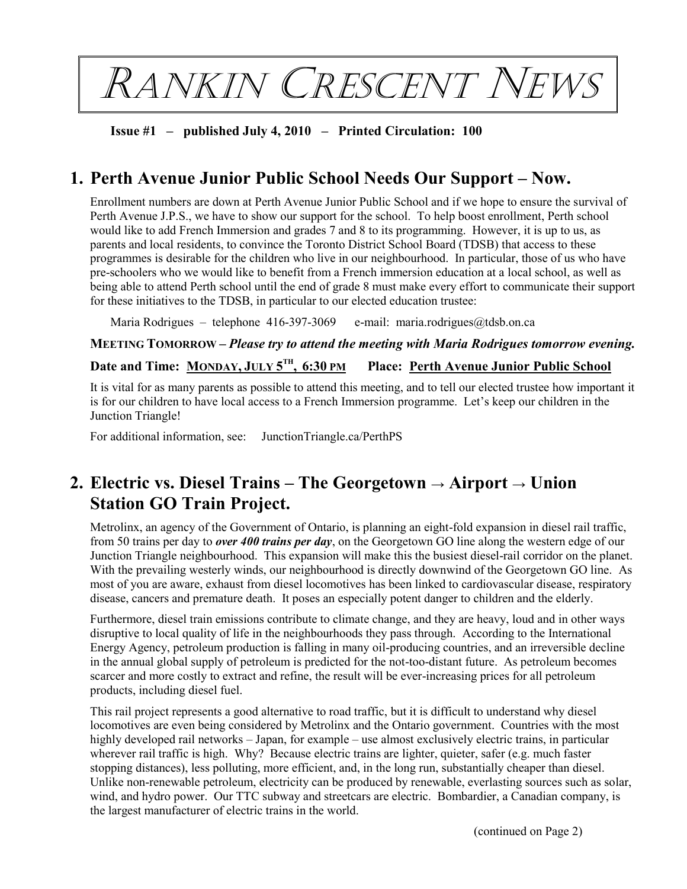RANKIN CRESCENT NEWS

**Issue #1 – published July 4, 2010 – Printed Circulation: 100**

# **1. Perth Avenue Junior Public School Needs Our Support – Now.**

Enrollment numbers are down at Perth Avenue Junior Public School and if we hope to ensure the survival of Perth Avenue J.P.S., we have to show our support for the school. To help boost enrollment, Perth school would like to add French Immersion and grades 7 and 8 to its programming. However, it is up to us, as parents and local residents, to convince the Toronto District School Board (TDSB) that access to these programmes is desirable for the children who live in our neighbourhood. In particular, those of us who have pre-schoolers who we would like to benefit from a French immersion education at a local school, as well as being able to attend Perth school until the end of grade 8 must make every effort to communicate their support for these initiatives to the TDSB, in particular to our elected education trustee:

Maria Rodrigues – telephone 416-397-3069 e-mail: [maria.rodrigues@tdsb.on.ca](mailto:maria.rodrigues@tdsb.on.ca)

### **MEETING TOMORROW –** *Please try to attend the meeting with Maria Rodrigues tomorrow evening.*

### **Date and Time: MONDAY, JULY 5 TH , 6:30 PM Place: Perth Avenue Junior Public School**

It is vital for as many parents as possible to attend this meeting, and to tell our elected trustee how important it is for our children to have local access to a French Immersion programme. Let's keep our children in the Junction Triangle!

For additional information, see: JunctionTriangle.ca/PerthPS

# **2. Electric vs. Diesel Trains – The Georgetown → Airport → Union Station GO Train Project.**

Metrolinx, an agency of the Government of Ontario, is planning an eight-fold expansion in diesel rail traffic, from 50 trains per day to *over 400 trains per day*, on the Georgetown GO line along the western edge of our Junction Triangle neighbourhood. This expansion will make this the busiest diesel-rail corridor on the planet. With the prevailing westerly winds, our neighbourhood is directly downwind of the Georgetown GO line. As most of you are aware, exhaust from diesel locomotives has been linked to cardiovascular disease, respiratory disease, cancers and premature death. It poses an especially potent danger to children and the elderly.

Furthermore, diesel train emissions contribute to climate change, and they are heavy, loud and in other ways disruptive to local quality of life in the neighbourhoods they pass through. According to the International Energy Agency, petroleum production is falling in many oil-producing countries, and an irreversible decline in the annual global supply of petroleum is predicted for the not-too-distant future. As petroleum becomes scarcer and more costly to extract and refine, the result will be ever-increasing prices for all petroleum products, including diesel fuel.

This rail project represents a good alternative to road traffic, but it is difficult to understand why diesel locomotives are even being considered by Metrolinx and the Ontario government. Countries with the most highly developed rail networks – Japan, for example – use almost exclusively electric trains, in particular wherever rail traffic is high. Why? Because electric trains are lighter, quieter, safer (e.g. much faster stopping distances), less polluting, more efficient, and, in the long run, substantially cheaper than diesel. Unlike non-renewable petroleum, electricity can be produced by renewable, everlasting sources such as solar, wind, and hydro power. Our TTC subway and streetcars are electric. Bombardier, a Canadian company, is the largest manufacturer of electric trains in the world.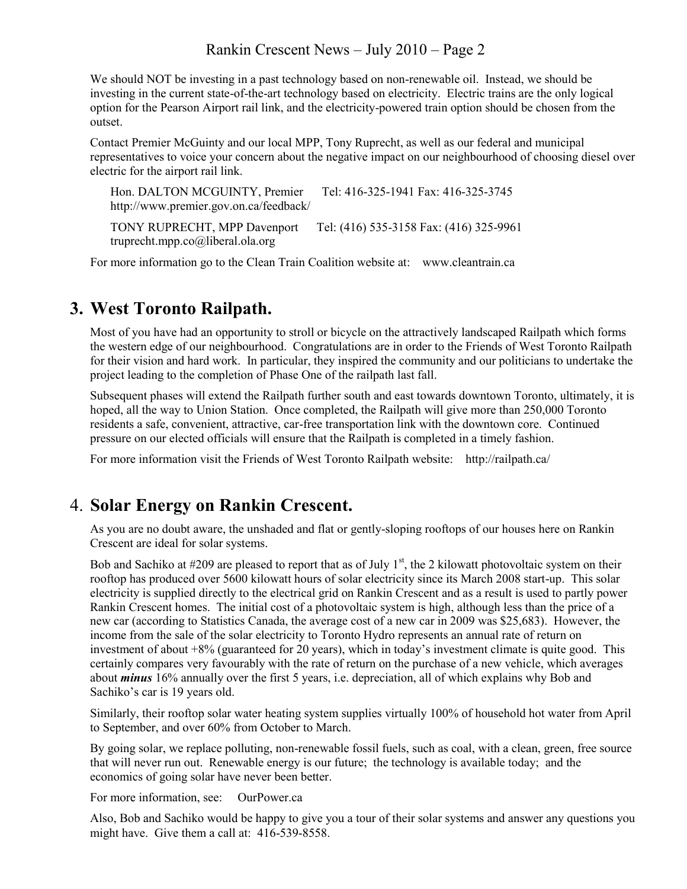### Rankin Crescent News – July 2010 – Page 2

We should NOT be investing in a past technology based on non-renewable oil. Instead, we should be investing in the current state-of-the-art technology based on electricity. Electric trains are the only logical option for the Pearson Airport rail link, and the electricity-powered train option should be chosen from the outset.

Contact Premier McGuinty and our local MPP, Tony Ruprecht, as well as our federal and municipal representatives to voice your concern about the negative impact on our neighbourhood of choosing diesel over electric for the airport rail link.

Hon. DALTON MCGUINTY, Premier Tel: 416-325-1941 Fax: 416-325-3745 <http://www.premier.gov.on.ca/feedback/> TONY RUPRECHT, MPP Davenport Tel: (416) 535-3158 Fax: (416) 325-996[1](mailto:truprechtmpp.co@liberal.ola.org) [truprecht.mpp.co@liberal.ola.org](mailto:truprechtmpp.co@liberal.ola.org)

For more information go to the Clean Train Coalition website at: www.cleantrain.ca

## **3. West Toronto Railpath.**

Most of you have had an opportunity to stroll or bicycle on the attractively landscaped Railpath which forms the western edge of our neighbourhood. Congratulations are in order to the Friends of West Toronto Railpath for their vision and hard work. In particular, they inspired the community and our politicians to undertake the project leading to the completion of Phase One of the railpath last fall.

Subsequent phases will extend the Railpath further south and east towards downtown Toronto, ultimately, it is hoped, all the way to Union Station. Once completed, the Railpath will give more than 250,000 Toronto residents a safe, convenient, attractive, car-free transportation link with the downtown core. Continued pressure on our elected officials will ensure that the Railpath is completed in a timely fashion.

For more information visit the Friends of West Toronto Railpath website: http://railpath.ca/

## 4. **Solar Energy on Rankin Crescent.**

As you are no doubt aware, the unshaded and flat or gently-sloping rooftops of our houses here on Rankin Crescent are ideal for solar systems.

Bob and Sachiko at #209 are pleased to report that as of July 1<sup>st</sup>, the 2 kilowatt photovoltaic system on their rooftop has produced over 5600 kilowatt hours of solar electricity since its March 2008 start-up. This solar electricity is supplied directly to the electrical grid on Rankin Crescent and as a result is used to partly power Rankin Crescent homes. The initial cost of a photovoltaic system is high, although less than the price of a new car (according to Statistics Canada, the average cost of a new car in 2009 was \$25,683). However, the income from the sale of the solar electricity to Toronto Hydro represents an annual rate of return on investment of about +8% (guaranteed for 20 years), which in today's investment climate is quite good. This certainly compares very favourably with the rate of return on the purchase of a new vehicle, which averages about *minus* 16% annually over the first 5 years, i.e. depreciation, all of which explains why Bob and Sachiko's car is 19 years old.

Similarly, their rooftop solar water heating system supplies virtually 100% of household hot water from April to September, and over 60% from October to March.

By going solar, we replace polluting, non-renewable fossil fuels, such as coal, with a clean, green, free source that will never run out. Renewable energy is our future; the technology is available today; and the economics of going solar have never been better.

For more information, see: OurPower.ca

Also, Bob and Sachiko would be happy to give you a tour of their solar systems and answer any questions you might have. Give them a call at: 416-539-8558.